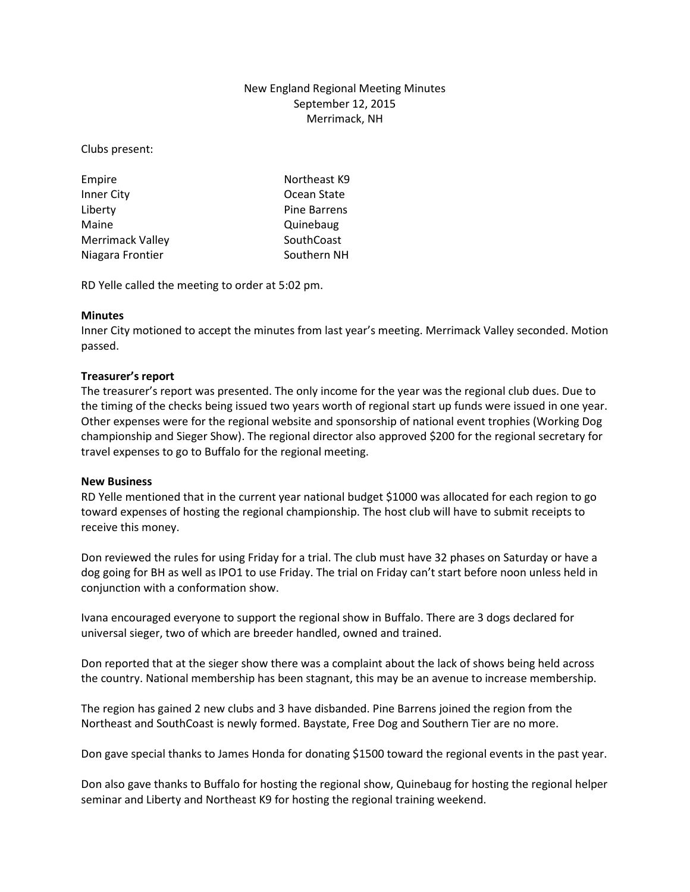# New England Regional Meeting Minutes September 12, 2015 Merrimack, NH

Clubs present:

| Empire                  | Northeast K9        |
|-------------------------|---------------------|
| Inner City              | Ocean State         |
| Liberty                 | <b>Pine Barrens</b> |
| Maine                   | Quinebaug           |
| <b>Merrimack Valley</b> | SouthCoast          |
| Niagara Frontier        | Southern NH         |

RD Yelle called the meeting to order at 5:02 pm.

## **Minutes**

Inner City motioned to accept the minutes from last year's meeting. Merrimack Valley seconded. Motion passed.

## **Treasurer's report**

The treasurer's report was presented. The only income for the year was the regional club dues. Due to the timing of the checks being issued two years worth of regional start up funds were issued in one year. Other expenses were for the regional website and sponsorship of national event trophies (Working Dog championship and Sieger Show). The regional director also approved \$200 for the regional secretary for travel expenses to go to Buffalo for the regional meeting.

#### **New Business**

RD Yelle mentioned that in the current year national budget \$1000 was allocated for each region to go toward expenses of hosting the regional championship. The host club will have to submit receipts to receive this money.

Don reviewed the rules for using Friday for a trial. The club must have 32 phases on Saturday or have a dog going for BH as well as IPO1 to use Friday. The trial on Friday can't start before noon unless held in conjunction with a conformation show.

Ivana encouraged everyone to support the regional show in Buffalo. There are 3 dogs declared for universal sieger, two of which are breeder handled, owned and trained.

Don reported that at the sieger show there was a complaint about the lack of shows being held across the country. National membership has been stagnant, this may be an avenue to increase membership.

The region has gained 2 new clubs and 3 have disbanded. Pine Barrens joined the region from the Northeast and SouthCoast is newly formed. Baystate, Free Dog and Southern Tier are no more.

Don gave special thanks to James Honda for donating \$1500 toward the regional events in the past year.

Don also gave thanks to Buffalo for hosting the regional show, Quinebaug for hosting the regional helper seminar and Liberty and Northeast K9 for hosting the regional training weekend.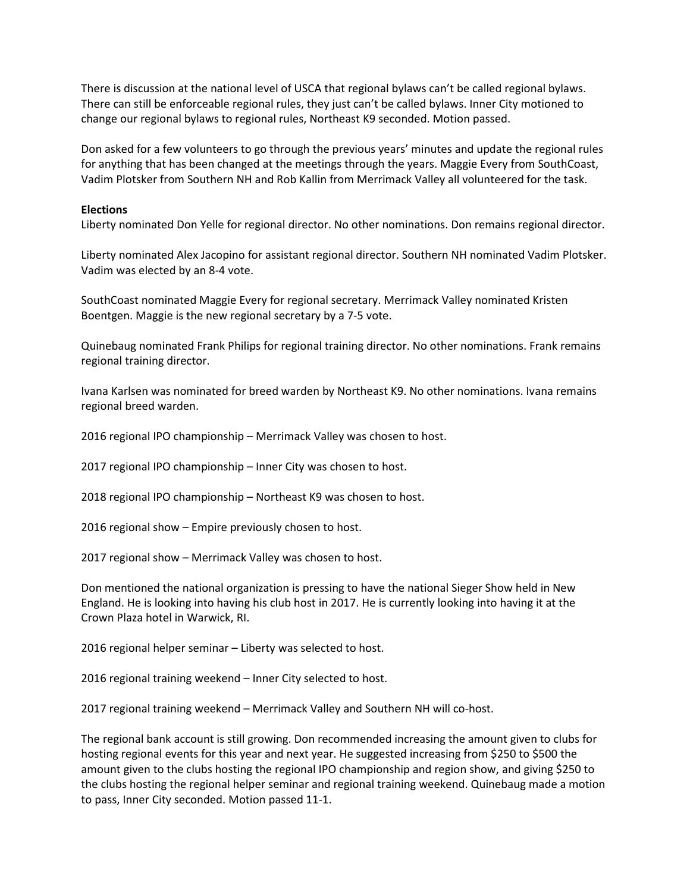There is discussion at the national level of USCA that regional bylaws can't be called regional bylaws. There can still be enforceable regional rules, they just can't be called bylaws. Inner City motioned to change our regional bylaws to regional rules, Northeast K9 seconded. Motion passed.

Don asked for a few volunteers to go through the previous years' minutes and update the regional rules for anything that has been changed at the meetings through the years. Maggie Every from SouthCoast, Vadim Plotsker from Southern NH and Rob Kallin from Merrimack Valley all volunteered for the task.

#### **Elections**

Liberty nominated Don Yelle for regional director. No other nominations. Don remains regional director.

Liberty nominated Alex Jacopino for assistant regional director. Southern NH nominated Vadim Plotsker. Vadim was elected by an 8-4 vote.

SouthCoast nominated Maggie Every for regional secretary. Merrimack Valley nominated Kristen Boentgen. Maggie is the new regional secretary by a 7-5 vote.

Quinebaug nominated Frank Philips for regional training director. No other nominations. Frank remains regional training director.

Ivana Karlsen was nominated for breed warden by Northeast K9. No other nominations. Ivana remains regional breed warden.

2016 regional IPO championship – Merrimack Valley was chosen to host.

2017 regional IPO championship – Inner City was chosen to host.

2018 regional IPO championship – Northeast K9 was chosen to host.

2016 regional show – Empire previously chosen to host.

2017 regional show – Merrimack Valley was chosen to host.

Don mentioned the national organization is pressing to have the national Sieger Show held in New England. He is looking into having his club host in 2017. He is currently looking into having it at the Crown Plaza hotel in Warwick, RI.

2016 regional helper seminar – Liberty was selected to host.

2016 regional training weekend – Inner City selected to host.

2017 regional training weekend – Merrimack Valley and Southern NH will co-host.

The regional bank account is still growing. Don recommended increasing the amount given to clubs for hosting regional events for this year and next year. He suggested increasing from \$250 to \$500 the amount given to the clubs hosting the regional IPO championship and region show, and giving \$250 to the clubs hosting the regional helper seminar and regional training weekend. Quinebaug made a motion to pass, Inner City seconded. Motion passed 11-1.